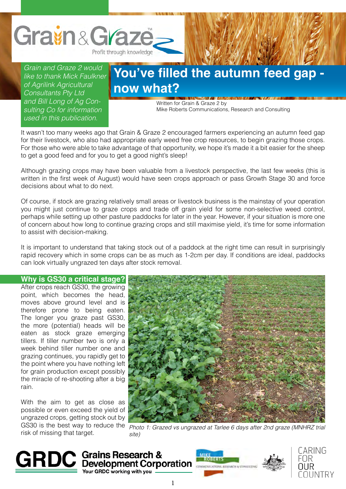

*Grain and Graze 2 would like to thank Mick Faulkner of Agrilink Agricultural Consultants Pty Ltd and Bill Long of Ag Consulting Co for information used in this publication.*

## **You've filled the autumn feed gap now what?**

Written for Grain & Graze 2 by Mike Roberts Communications, Research and Consulting

It wasn't too many weeks ago that Grain & Graze 2 encouraged farmers experiencing an autumn feed gap for their livestock, who also had appropriate early weed free crop resources, to begin grazing those crops. For those who were able to take advantage of that opportunity, we hope it's made it a bit easier for the sheep to get a good feed and for you to get a good night's sleep!

Although grazing crops may have been valuable from a livestock perspective, the last few weeks (this is written in the first week of August) would have seen crops approach or pass Growth Stage 30 and force decisions about what to do next.

Of course, if stock are grazing relatively small areas or livestock business is the mainstay of your operation you might just continue to graze crops and trade off grain yield for some non-selective weed control, perhaps while setting up other pasture paddocks for later in the year. However, if your situation is more one of concern about how long to continue grazing crops and still maximise yield, it's time for some information to assist with decision-making.

It is important to understand that taking stock out of a paddock at the right time can result in surprisingly rapid recovery which in some crops can be as much as 1-2cm per day. If conditions are ideal, paddocks can look virtually ungrazed ten days after stock removal.

**Why is GS30 a critical stage?** After crops reach GS30, the growing point, which becomes the head, moves above ground level and is therefore prone to being eaten. The longer you graze past GS30, the more (potential) heads will be eaten as stock graze emerging tillers. If tiller number two is only a week behind tiller number one and grazing continues, you rapidly get to the point where you have nothing left for grain production except possibly the miracle of re-shooting after a big rain.

With the aim to get as close as possible or even exceed the yield of ungrazed crops, getting stock out by risk of missing that target.



GS30 is the best way to reduce the  $\frac{p_{\text{hoto 1: Grazed vs ungrazed at Tarlee 6 days after 2nd graze (MNH RZ trial)}}{p_{\text{hoto 1: Grazed vs ungrazed at Tarlee 6 days after 2nd graze (MNH RZ trial)}}$ *site)*



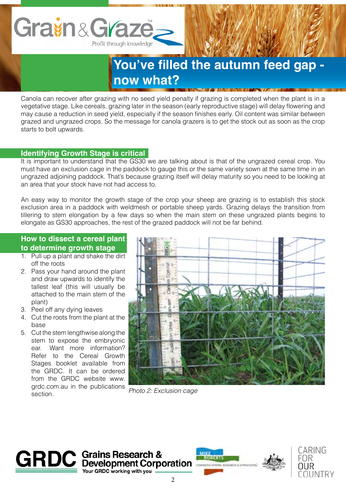

Canola can recover after grazing with no seed yield penalty if grazing is completed when the plant is in a vegetative stage. Like cereals, grazing later in the season (early reproductive stage) will delay flowering and may cause a reduction in seed yield, especially if the season finishes early. Oil content was similar between grazed and ungrazed crops. So the message for canola grazers is to get the stock out as soon as the crop starts to bolt upwards.

## **Identifying Growth Stage is critical**

It is important to understand that the GS30 we are talking about is that of the ungrazed cereal crop. You must have an exclusion cage in the paddock to gauge this or the same variety sown at the same time in an ungrazed adjoining paddock. That's because grazing itself will delay maturity so you need to be looking at an area that your stock have not had access to.

An easy way to monitor the growth stage of the crop your sheep are grazing is to establish this stock exclusion area in a paddock with weldmesh or portable sheep yards. Grazing delays the transition from tillering to stem elongation by a few days so when the main stem on these ungrazed plants begins to elongate as GS30 approaches, the rest of the grazed paddock will not be far behind.

## **How to dissect a cereal plant to determine growth stage**

- 1. Pull up a plant and shake the dirt off the roots
- 2. Pass your hand around the plant and draw upwards to identify the tallest leaf (this will usually be attached to the main stem of the plant)
- 3. Peel off any dying leaves
- 4. Cut the roots from the plant at the base
- 5. Cut the stem lengthwise along the stem to expose the embryonic ear. Want more information? Refer to the Cereal Growth Stages booklet available from the GRDC. It can be ordered from the GRDC website www. grdc.com.au in the publications section.



*Photo 2: Exclusion cage*





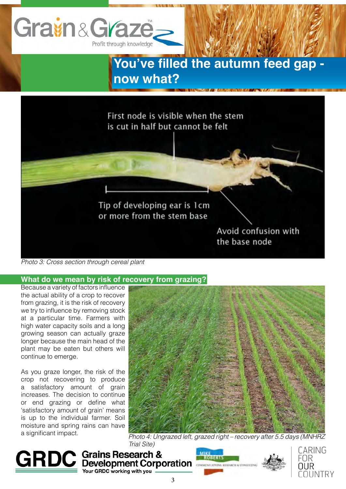



*Photo 3: Cross section through cereal plant*

## **What do we mean by risk of recovery from grazing?**

Because a variety of factors influence the actual ability of a crop to recover from grazing, it is the risk of recovery we try to influence by removing stock at a particular time. Farmers with high water capacity soils and a long growing season can actually graze longer because the main head of the plant may be eaten but others will continue to emerge.

As you graze longer, the risk of the crop not recovering to produce a satisfactory amount of grain increases. The decision to continue or end grazing or define what 'satisfactory amount of grain' means is up to the individual farmer. Soil moisture and spring rains can have a significant impact.



*Photo 4: Ungrazed left, grazed right – recovery after 5.5 days (MNHRZ Trial Site)*

**GRDC** Grains Research & **MARKERTS** Your GRDC working with you



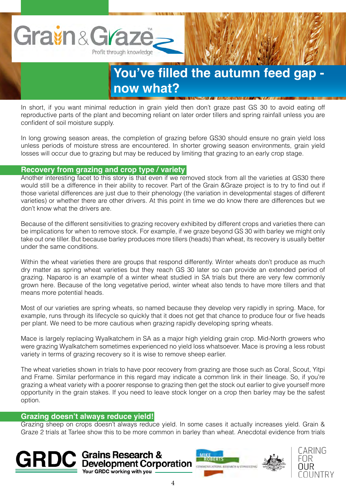

In short, if you want minimal reduction in grain yield then don't graze past GS 30 to avoid eating off reproductive parts of the plant and becoming reliant on later order tillers and spring rainfall unless you are confident of soil moisture supply.

In long growing season areas, the completion of grazing before GS30 should ensure no grain yield loss unless periods of moisture stress are encountered. In shorter growing season environments, grain yield losses will occur due to grazing but may be reduced by limiting that grazing to an early crop stage.

## **Recovery from grazing and crop type / variety**

Another interesting facet to this story is that even if we removed stock from all the varieties at GS30 there would still be a difference in their ability to recover. Part of the Grain &Graze project is to try to find out if those varietal differences are just due to their phenology (the variation in developmental stages of different varieties) or whether there are other drivers. At this point in time we do know there are differences but we don't know what the drivers are.

Because of the different sensitivities to grazing recovery exhibited by different crops and varieties there can be implications for when to remove stock. For example, if we graze beyond GS 30 with barley we might only take out one tiller. But because barley produces more tillers (heads) than wheat, its recovery is usually better under the same conditions.

Within the wheat varieties there are groups that respond differently. Winter wheats don't produce as much dry matter as spring wheat varieties but they reach GS 30 later so can provide an extended period of grazing. Naparoo is an example of a winter wheat studied in SA trials but there are very few commonly grown here. Because of the long vegetative period, winter wheat also tends to have more tillers and that means more potential heads.

Most of our varieties are spring wheats, so named because they develop very rapidly in spring. Mace, for example, runs through its lifecycle so quickly that it does not get that chance to produce four or five heads per plant. We need to be more cautious when grazing rapidly developing spring wheats.

Mace is largely replacing Wyalkatchem in SA as a major high yielding grain crop. Mid-North growers who were grazing Wyalkatchem sometimes experienced no yield loss whatsoever. Mace is proving a less robust variety in terms of grazing recovery so it is wise to remove sheep earlier.

The wheat varieties shown in trials to have poor recovery from grazing are those such as Coral, Scout, Yitpi and Frame. Similar performance in this regard may indicate a common link in their lineage. So, if you're grazing a wheat variety with a poorer response to grazing then get the stock out earlier to give yourself more opportunity in the grain stakes. If you need to leave stock longer on a crop then barley may be the safest option.

## **Grazing doesn't always reduce yield!**

Grazing sheep on crops doesn't always reduce yield. In some cases it actually increases yield. Grain & Graze 2 trials at Tarlee show this to be more common in barley than wheat. Anecdotal evidence from trials

**GRDC** Grains Research & Your GRDC working with you



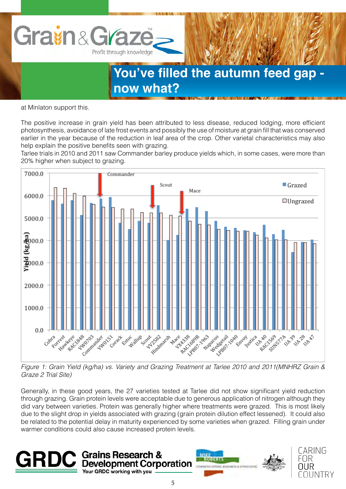

at Minlaton support this.

The positive increase in grain yield has been attributed to less disease, reduced lodging, more efficient photosynthesis, avoidance of late frost events and possibly the use of moisture at grain fill that was conserved earlier in the year because of the reduction in leaf area of the crop. Other varietal characteristics may also help explain the positive benefits seen with grazing.

Tarlee trials in 2010 and 2011 saw Commander barley produce yields which, in some cases, were more than 20% higher when subject to grazing.



*Figure 1: Grain Yield (kg/ha) vs. Variety and Grazing Treatment at Tarlee 2010 and 2011(MNHRZ Grain & Graze 2 Trial Site)*

Generally, in these good years, the 27 varieties tested at Tarlee did not show significant yield reduction through grazing. Grain protein levels were acceptable due to generous application of nitrogen although they did vary between varieties. Protein was generally higher where treatments were grazed. This is most likely due to the slight drop in yields associated with grazing (grain protein dilution effect lessened). It could also be related to the potential delay in maturity experienced by some varieties when grazed. Filling grain under warmer conditions could also cause increased protein levels.





CARING

์NUNTRY

FOR OUR

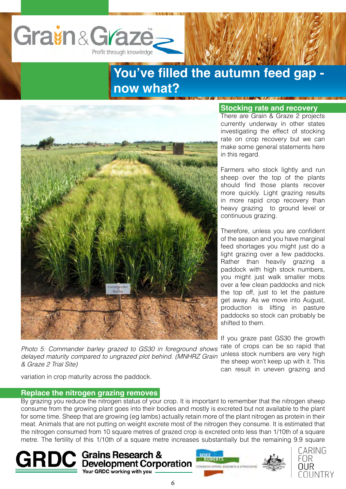



*Photo 5: Commander barley grazed to GS30 in foreground shows delayed maturity compared to ungrazed plot behind. (MNHRZ Grain & Graze 2 Trial Site)*

### **Stocking rate and recovery**

There are Grain & Graze 2 projects currently underway in other states investigating the effect of stocking rate on crop recovery but we can make some general statements here in this regard.

Farmers who stock lightly and run sheep over the top of the plants should find those plants recover more quickly. Light grazing results in more rapid crop recovery than heavy grazing to ground level or continuous grazing.

Therefore, unless you are confident of the season and you have marginal feed shortages you might just do a light grazing over a few paddocks. Rather than heavily grazing a paddock with high stock numbers, you might just walk smaller mobs over a few clean paddocks and nick the top off, just to let the pasture get away. As we move into August, production is lifting in pasture paddocks so stock can probably be shifted to them.

If you graze past GS30 the growth rate of crops can be so rapid that unless stock numbers are very high the sheep won't keep up with it. This can result in uneven grazing and

variation in crop maturity across the paddock.

## **Replace the nitrogen grazing removes**

By grazing you reduce the nitrogen status of your crop. It is important to remember that the nitrogen sheep consume from the growing plant goes into their bodies and mostly is excreted but not available to the plant for some time. Sheep that are growing (eg lambs) actually retain more of the plant nitrogen as protein in their meat. Animals that are not putting on weight excrete most of the nitrogen they consume. It is estimated that the nitrogen consumed from 10 square metres of grazed crop is excreted onto less than 1/10th of a square metre. The fertility of this 1/10th of a square metre increases substantially but the remaining 9.9 square







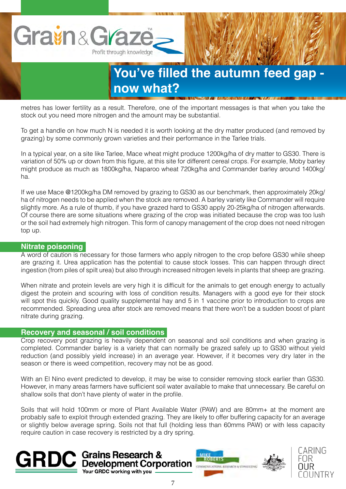

metres has lower fertility as a result. Therefore, one of the important messages is that when you take the stock out you need more nitrogen and the amount may be substantial.

To get a handle on how much N is needed it is worth looking at the dry matter produced (and removed by grazing) by some commonly grown varieties and their performance in the Tarlee trials.

In a typical year, on a site like Tarlee, Mace wheat might produce 1200kg/ha of dry matter to GS30. There is variation of 50% up or down from this figure, at this site for different cereal crops. For example, Moby barley might produce as much as 1800kg/ha, Naparoo wheat 720kg/ha and Commander barley around 1400kg/ ha.

If we use Mace @1200kg/ha DM removed by grazing to GS30 as our benchmark, then approximately 20kg/ ha of nitrogen needs to be applied when the stock are removed. A barley variety like Commander will require slightly more. As a rule of thumb, if you have grazed hard to GS30 apply 20-25kg/ha of nitrogen afterwards. Of course there are some situations where grazing of the crop was initiated because the crop was too lush or the soil had extremely high nitrogen. This form of canopy management of the crop does not need nitrogen top up.

## **Nitrate poisoning**

A word of caution is necessary for those farmers who apply nitrogen to the crop before GS30 while sheep are grazing it. Urea application has the potential to cause stock losses. This can happen through direct ingestion (from piles of spilt urea) but also through increased nitrogen levels in plants that sheep are grazing.

When nitrate and protein levels are very high it is difficult for the animals to get enough energy to actually digest the protein and scouring with loss of condition results. Managers with a good eye for their stock will spot this quickly. Good quality supplemental hay and 5 in 1 vaccine prior to introduction to crops are recommended. Spreading urea after stock are removed means that there won't be a sudden boost of plant nitrate during grazing.

#### **Recovery and seasonal / soil conditions**

Crop recovery post grazing is heavily dependent on seasonal and soil conditions and when grazing is completed. Commander barley is a variety that can normally be grazed safely up to GS30 without yield reduction (and possibly yield increase) in an average year. However, if it becomes very dry later in the season or there is weed competition, recovery may not be as good.

With an El Nino event predicted to develop, it may be wise to consider removing stock earlier than GS30. However, in many areas farmers have sufficient soil water available to make that unnecessary. Be careful on shallow soils that don't have plenty of water in the profile.

Soils that will hold 100mm or more of Plant Available Water (PAW) and are 80mm+ at the moment are probably safe to exploit through extended grazing. They are likely to offer buffering capacity for an average or slightly below average spring. Soils not that full (holding less than 60mms PAW) or with less capacity require caution in case recovery is restricted by a dry spring.





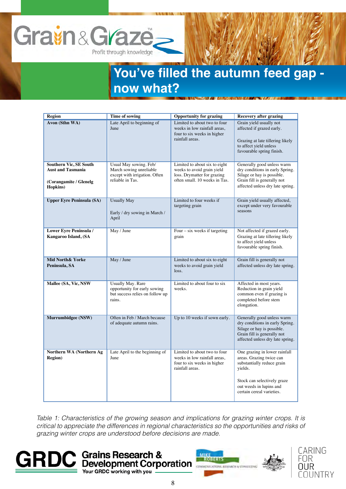

| <b>Region</b>                                                                                   | Time of sowing                                                                                         | <b>Opportunity for grazing</b>                                                                                              | <b>Recovery after grazing</b>                                                                                                                                                             |
|-------------------------------------------------------------------------------------------------|--------------------------------------------------------------------------------------------------------|-----------------------------------------------------------------------------------------------------------------------------|-------------------------------------------------------------------------------------------------------------------------------------------------------------------------------------------|
| <b>Avon (Sthn WA)</b>                                                                           | Late April to beginning of<br>June                                                                     | Limited to about two to four<br>weeks in low rainfall areas,<br>four to six weeks in higher<br>rainfall areas.              | Grain yield usually not<br>affected if grazed early.<br>Grazing at late tillering likely<br>to affect yield unless<br>favourable spring finish.                                           |
| <b>Southern Vic, SE South</b><br><b>Aust and Tasmania</b><br>(Corangamite / Glenelg<br>Hopkins) | Usual May sowing. Feb/<br>March sowing unreliable<br>except with irrigation. Often<br>reliable in Tas. | Limited to about six to eight<br>weeks to avoid grain yield<br>loss. Drymatter for grazing<br>often small. 10 weeks in Tas. | Generally good unless warm<br>dry conditions in early Spring.<br>Silage or hay is possible.<br>Grain fill is generally not<br>affected unless dry late spring.                            |
| <b>Upper Eyre Peninsula (SA)</b>                                                                | <b>Usually May</b><br>Early / dry sowing in March /<br>April                                           | Limited to four weeks if<br>targeting grain                                                                                 | Grain yield usually affected,<br>except under very favourable<br>seasons                                                                                                                  |
| Lower Eyre Peninsula /<br>Kangaroo Island, (SA                                                  | May / June                                                                                             | Four $-$ six weeks if targeting<br>grain                                                                                    | Not affected if grazed early.<br>Grazing at late tillering likely<br>to affect yield unless<br>favourable spring finish.                                                                  |
| Mid North& Yorke<br>Peninsula, SA                                                               | May / June                                                                                             | Limited to about six to eight<br>weeks to avoid grain yield<br>loss.                                                        | Grain fill is generally not<br>affected unless dry late spring.                                                                                                                           |
| Mallee (SA, Vic, NSW                                                                            | <b>Usually May. Rare</b><br>opportunity for early sowing<br>but success relies on follow up<br>rains.  | Limited to about four to six<br>weeks.                                                                                      | Affected in most years.<br>Reduction in grain yield<br>common even if grazing is<br>completed before stem<br>elongation.                                                                  |
| Murrumbidgee (NSW)                                                                              | Often in Feb / March because<br>of adequate autumn rains.                                              | Up to 10 weeks if sown early.                                                                                               | Generally good unless warm<br>dry conditions in early Spring.<br>Silage or hay is possible.<br>Grain fill is generally not<br>affected unless dry late spring.                            |
| Northern WA (Northern Ag<br><b>Region</b> )                                                     | Late April to the beginning of<br>June                                                                 | Limited to about two to four<br>weeks in low rainfall areas.<br>four to six weeks in higher<br>rainfall areas.              | One grazing in lower rainfall<br>areas. Grazing twice can<br>substantially reduce grain<br>yields.<br>Stock can selectively graze<br>out weeds in lupins and<br>certain cereal varieties. |

*Table 1: Characteristics of the growing season and implications for grazing winter crops. It is critical to appreciate the differences in regional characteristics so the opportunities and risks of grazing winter crops are understood before decisions are made.*